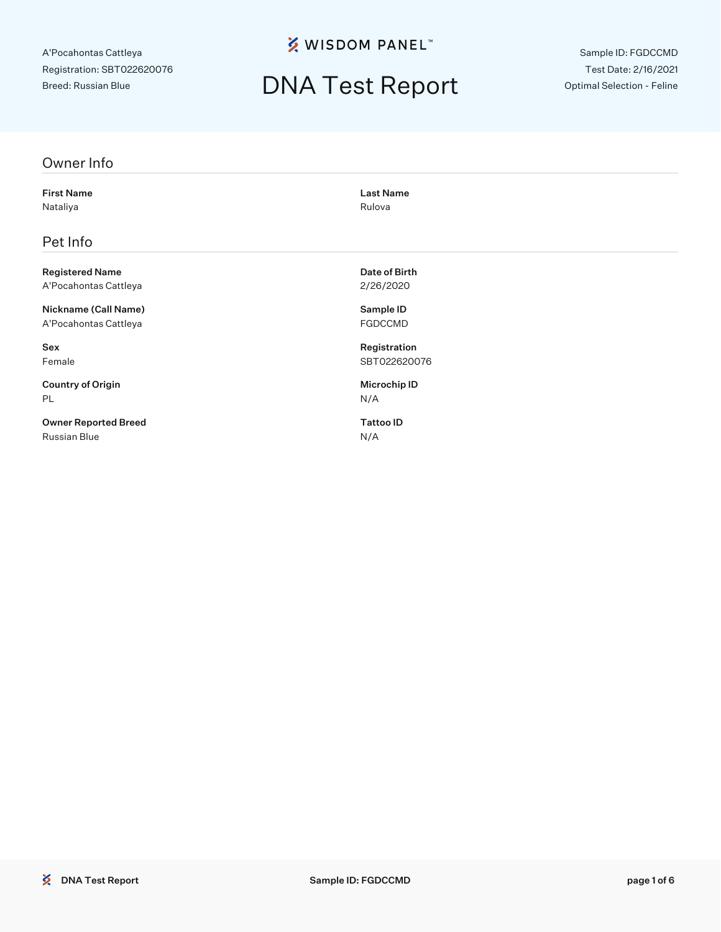**% WISDOM PANEL**™

## DNA Test Report

Sample ID: FGDCCMD Test Date: 2/16/2021 Optimal Selection - Feline

#### Owner Info

First Name Last Name Nataliya **Nataliya** Rulova Rulova Rulova Rulova Rulova Rulova Rulova Rulova Rulova Rulova Rulova Rulova Rulova

#### Pet Info

Registered Name **Date of Birth** A'Pocahontas Cattleya 2/26/2020

Nickname (Call Name) Sample ID A'Pocahontas Cattleya **FGDCCMD** 

Country of Origin **Microchip ID** PL N/A

Owner Reported Breed Tattoo ID Russian Blue N/A

Sex Registration Female SBT022620076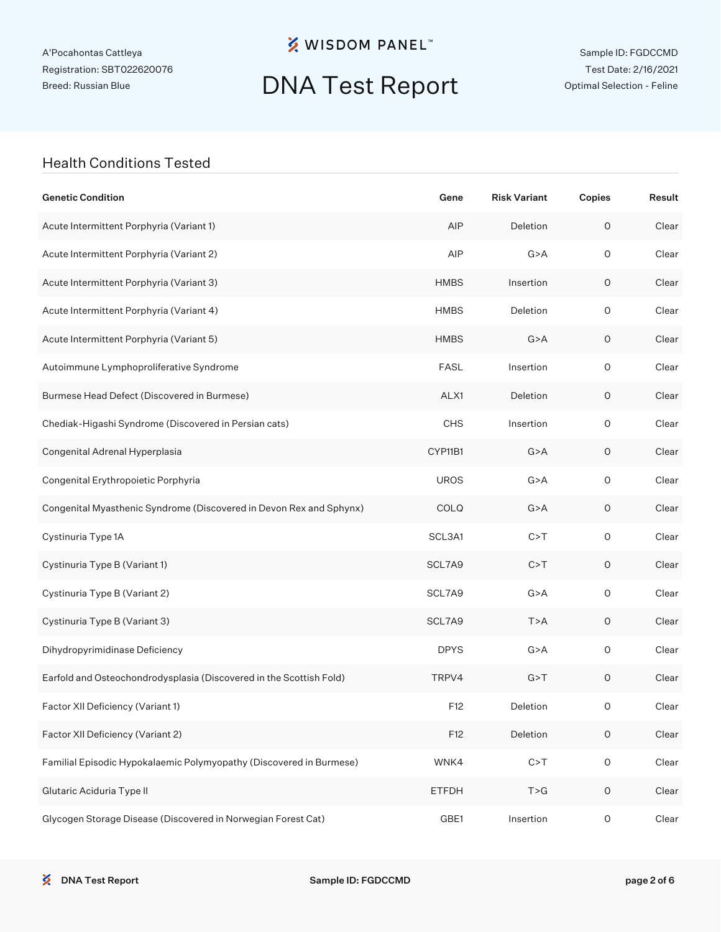**※ WISDOM PANEL**™

## DNA Test Report

Sample ID: FGDCCMD Test Date: 2/16/2021 Optimal Selection - Feline

#### Health Conditions Tested

| <b>Genetic Condition</b>                                            | Gene         | <b>Risk Variant</b> | Copies              | Result |
|---------------------------------------------------------------------|--------------|---------------------|---------------------|--------|
| Acute Intermittent Porphyria (Variant 1)                            | AIP          | Deletion            | $\mathsf O$         | Clear  |
| Acute Intermittent Porphyria (Variant 2)                            | AIP          | G > A               | $\mathsf O$         | Clear  |
| Acute Intermittent Porphyria (Variant 3)                            | <b>HMBS</b>  | Insertion           | 0                   | Clear  |
| Acute Intermittent Porphyria (Variant 4)                            | <b>HMBS</b>  | Deletion            | $\mathsf O$         | Clear  |
| Acute Intermittent Porphyria (Variant 5)                            | <b>HMBS</b>  | G > A               | 0                   | Clear  |
| Autoimmune Lymphoproliferative Syndrome                             | <b>FASL</b>  | Insertion           | $\mathsf O$         | Clear  |
| Burmese Head Defect (Discovered in Burmese)                         | ALX1         | Deletion            | 0                   | Clear  |
| Chediak-Higashi Syndrome (Discovered in Persian cats)               | <b>CHS</b>   | Insertion           | $\mathsf O$         | Clear  |
| Congenital Adrenal Hyperplasia                                      | CYP11B1      | G > A               | 0                   | Clear  |
| Congenital Erythropoietic Porphyria                                 | <b>UROS</b>  | G > A               | $\mathsf O$         | Clear  |
| Congenital Myasthenic Syndrome (Discovered in Devon Rex and Sphynx) | COLQ         | G > A               | 0                   | Clear  |
| Cystinuria Type 1A                                                  | SCL3A1       | C > T               | $\mathsf O$         | Clear  |
| Cystinuria Type B (Variant 1)                                       | SCL7A9       | C > T               | 0                   | Clear  |
| Cystinuria Type B (Variant 2)                                       | SCL7A9       | G > A               | $\mathsf O$         | Clear  |
| Cystinuria Type B (Variant 3)                                       | SCL7A9       | T > A               | 0                   | Clear  |
| Dihydropyrimidinase Deficiency                                      | <b>DPYS</b>  | G > A               | $\mathsf O$         | Clear  |
| Earfold and Osteochondrodysplasia (Discovered in the Scottish Fold) | TRPV4        | G > T               | $\mathsf O$         | Clear  |
| Factor XII Deficiency (Variant 1)                                   | F12          | Deletion            | 0                   | Clear  |
| Factor XII Deficiency (Variant 2)                                   | F12          | Deletion            | $\mathsf O$         | Clear  |
| Familial Episodic Hypokalaemic Polymyopathy (Discovered in Burmese) | WNK4         | C > T               | $\mathsf O$         | Clear  |
| Glutaric Aciduria Type II                                           | <b>ETFDH</b> | T > G               | $\mathsf O$         | Clear  |
| Glycogen Storage Disease (Discovered in Norwegian Forest Cat)       | GBE1         | Insertion           | $\mathsf{O}\xspace$ | Clear  |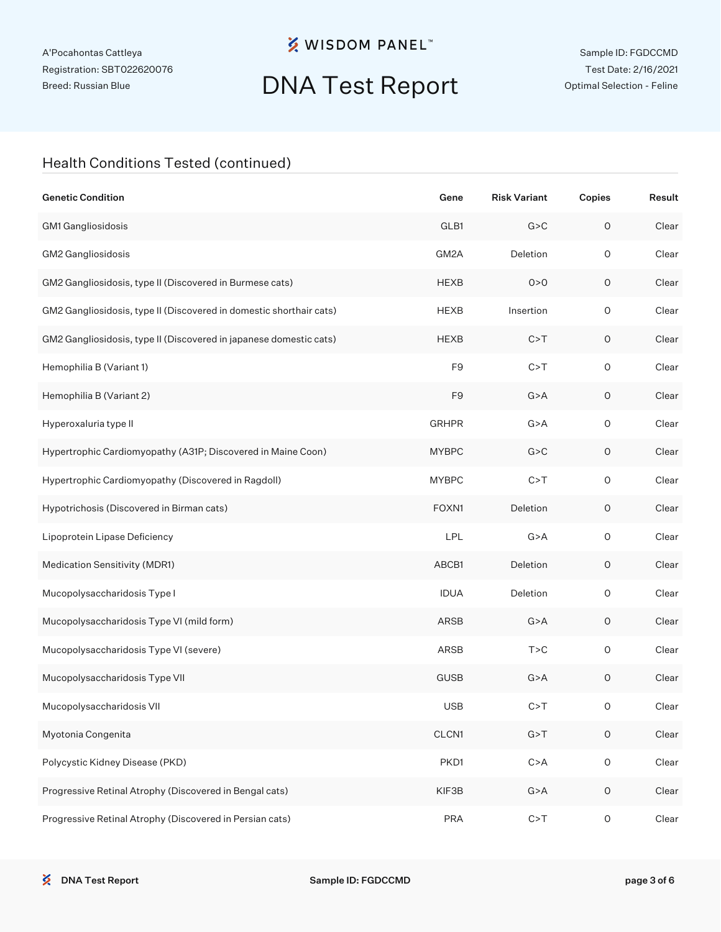**※ WISDOM PANEL**™

# DNA Test Report

Sample ID: FGDCCMD Test Date: 2/16/2021 Optimal Selection - Feline

### Health Conditions Tested (continued)

| <b>Genetic Condition</b>                                            | Gene           | <b>Risk Variant</b> | Copies              | Result |
|---------------------------------------------------------------------|----------------|---------------------|---------------------|--------|
| GM1 Gangliosidosis                                                  | GLB1           | G > C               | $\mathsf O$         | Clear  |
| GM2 Gangliosidosis                                                  | GM2A           | Deletion            | $\mathsf O$         | Clear  |
| GM2 Gangliosidosis, type II (Discovered in Burmese cats)            | <b>HEXB</b>    | 0 > 0               | $\mathsf O$         | Clear  |
| GM2 Gangliosidosis, type II (Discovered in domestic shorthair cats) | <b>HEXB</b>    | Insertion           | $\mathsf O$         | Clear  |
| GM2 Gangliosidosis, type II (Discovered in japanese domestic cats)  | <b>HEXB</b>    | C > T               | O                   | Clear  |
| Hemophilia B (Variant 1)                                            | F <sub>9</sub> | C > T               | $\mathsf O$         | Clear  |
| Hemophilia B (Variant 2)                                            | F <sub>9</sub> | G > A               | O                   | Clear  |
| Hyperoxaluria type II                                               | <b>GRHPR</b>   | G > A               | $\mathsf O$         | Clear  |
| Hypertrophic Cardiomyopathy (A31P; Discovered in Maine Coon)        | <b>MYBPC</b>   | G > C               | O                   | Clear  |
| Hypertrophic Cardiomyopathy (Discovered in Ragdoll)                 | <b>MYBPC</b>   | C > T               | $\mathsf O$         | Clear  |
| Hypotrichosis (Discovered in Birman cats)                           | FOXN1          | Deletion            | O                   | Clear  |
| Lipoprotein Lipase Deficiency                                       | LPL            | G > A               | $\mathsf O$         | Clear  |
| Medication Sensitivity (MDR1)                                       | ABCB1          | Deletion            | O                   | Clear  |
| Mucopolysaccharidosis Type I                                        | <b>IDUA</b>    | Deletion            | $\mathsf O$         | Clear  |
| Mucopolysaccharidosis Type VI (mild form)                           | ARSB           | G > A               | O                   | Clear  |
| Mucopolysaccharidosis Type VI (severe)                              | ARSB           | T > C               | $\mathsf O$         | Clear  |
| Mucopolysaccharidosis Type VII                                      | <b>GUSB</b>    | G > A               | O                   | Clear  |
| Mucopolysaccharidosis VII                                           | <b>USB</b>     | C > T               | O                   | Clear  |
| Myotonia Congenita                                                  | CLCN1          | G > T               | $\mathsf O$         | Clear  |
| Polycystic Kidney Disease (PKD)                                     | PKD1           | C > A               | $\mathsf{O}\xspace$ | Clear  |
| Progressive Retinal Atrophy (Discovered in Bengal cats)             | KIF3B          | G > A               | $\mathsf O$         | Clear  |
| Progressive Retinal Atrophy (Discovered in Persian cats)            | <b>PRA</b>     | C > T               | $\mathsf{O}\xspace$ | Clear  |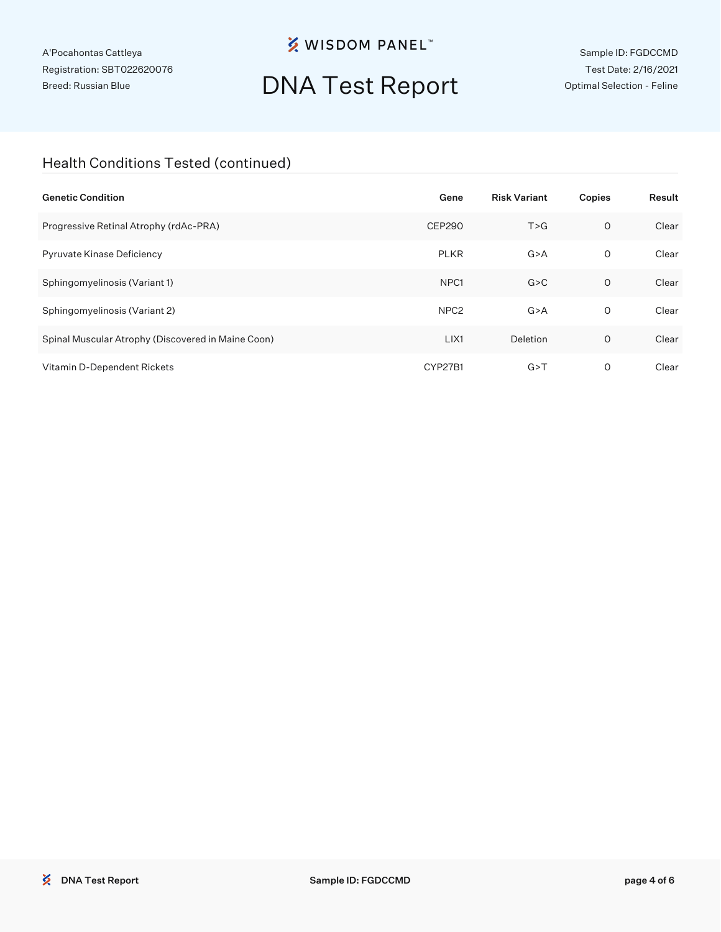**※ WISDOM PANEL**™

# DNA Test Report

Sample ID: FGDCCMD Test Date: 2/16/2021 Optimal Selection - Feline

### Health Conditions Tested (continued)

| <b>Genetic Condition</b>                           | Gene             | <b>Risk Variant</b> | Copies  | Result |
|----------------------------------------------------|------------------|---------------------|---------|--------|
| Progressive Retinal Atrophy (rdAc-PRA)             | CEP290           | T > G               | $\circ$ | Clear  |
| Pyruvate Kinase Deficiency                         | <b>PLKR</b>      | G > A               | 0       | Clear  |
| Sphingomyelinosis (Variant 1)                      | NPC <sub>1</sub> | G > C               | $\circ$ | Clear  |
| Sphingomyelinosis (Variant 2)                      | NPC <sub>2</sub> | G > A               | 0       | Clear  |
| Spinal Muscular Atrophy (Discovered in Maine Coon) | LIX1             | Deletion            | $\circ$ | Clear  |
| Vitamin D-Dependent Rickets                        | CYP27B1          | G > T               | 0       | Clear  |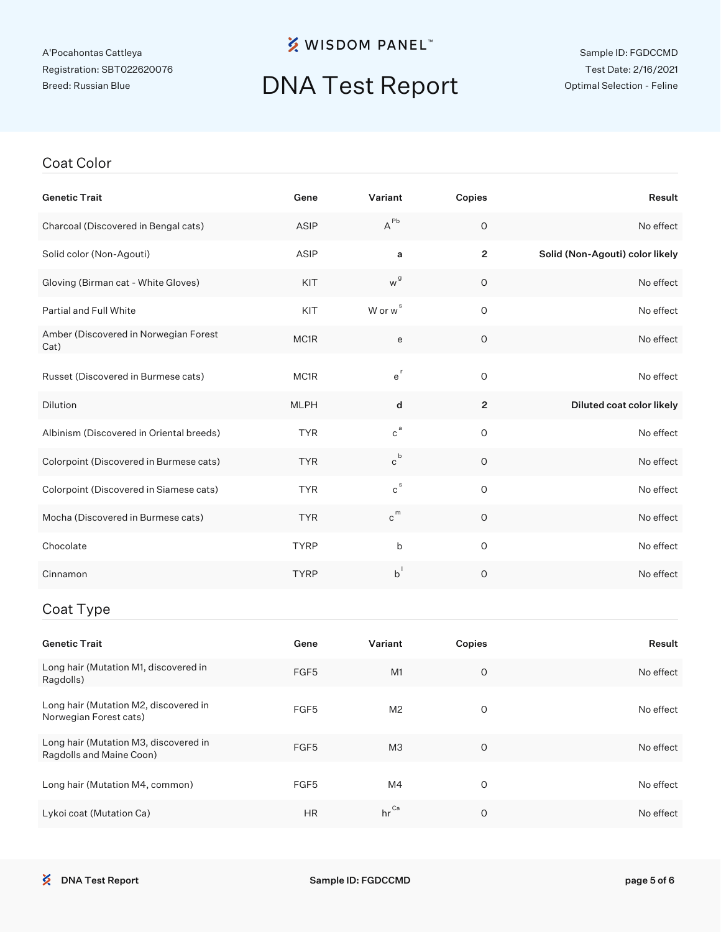### **※ WISDOM PANEL**™

## DNA Test Report

#### Coat Color

| <b>Genetic Trait</b>                          | Gene        | Variant                      | Copies         | Result                          |
|-----------------------------------------------|-------------|------------------------------|----------------|---------------------------------|
| Charcoal (Discovered in Bengal cats)          | ASIP        | $A^{\sf Pb}$                 | $\circ$        | No effect                       |
| Solid color (Non-Agouti)                      | ASIP        | a                            | $\overline{2}$ | Solid (Non-Agouti) color likely |
| Gloving (Birman cat - White Gloves)           | KIT         | w <sup>g</sup>               | $\mathsf O$    | No effect                       |
| Partial and Full White                        | KIT         | W or w <sup>s</sup>          | $\mathsf O$    | No effect                       |
| Amber (Discovered in Norwegian Forest<br>Cat) | MC1R        | e                            | $\mathsf O$    | No effect                       |
| Russet (Discovered in Burmese cats)           | MC1R        | $e^r$                        | $\circ$        | No effect                       |
| Dilution                                      | <b>MLPH</b> | d                            | $\overline{c}$ | Diluted coat color likely       |
| Albinism (Discovered in Oriental breeds)      | <b>TYR</b>  | $c^{a}$                      | $\mathsf O$    | No effect                       |
| Colorpoint (Discovered in Burmese cats)       | <b>TYR</b>  | $\mathtt{c}^{\, \mathtt{b}}$ | $\circ$        | No effect                       |
| Colorpoint (Discovered in Siamese cats)       | <b>TYR</b>  | $\mathtt{c}^{\mathtt{s}}$    | $\circ$        | No effect                       |
| Mocha (Discovered in Burmese cats)            | <b>TYR</b>  | $c^{m}$                      | $\circ$        | No effect                       |
| Chocolate                                     | <b>TYRP</b> | b                            | $\mathsf O$    | No effect                       |
| Cinnamon                                      | <b>TYRP</b> | $b^{\dagger}$                | $\mathsf O$    | No effect                       |
| Coat Type                                     |             |                              |                |                                 |
| <b>Genetic Trait</b>                          | Gene        | Variant                      | Copies         | Result                          |

| Genetic Trait                                                     | Gene             | Variant          | Copies | Result    |
|-------------------------------------------------------------------|------------------|------------------|--------|-----------|
| Long hair (Mutation M1, discovered in<br>Ragdolls)                | FGF <sub>5</sub> | M1               | O      | No effect |
| Long hair (Mutation M2, discovered in<br>Norwegian Forest cats)   | FGF <sub>5</sub> | M <sub>2</sub>   | O      | No effect |
| Long hair (Mutation M3, discovered in<br>Ragdolls and Maine Coon) | FGF <sub>5</sub> | M <sub>3</sub>   | O      | No effect |
| Long hair (Mutation M4, common)                                   | FGF <sub>5</sub> | M4               | 0      | No effect |
| Lykoi coat (Mutation Ca)                                          | <b>HR</b>        | $hr^{\text{Ca}}$ | O      | No effect |